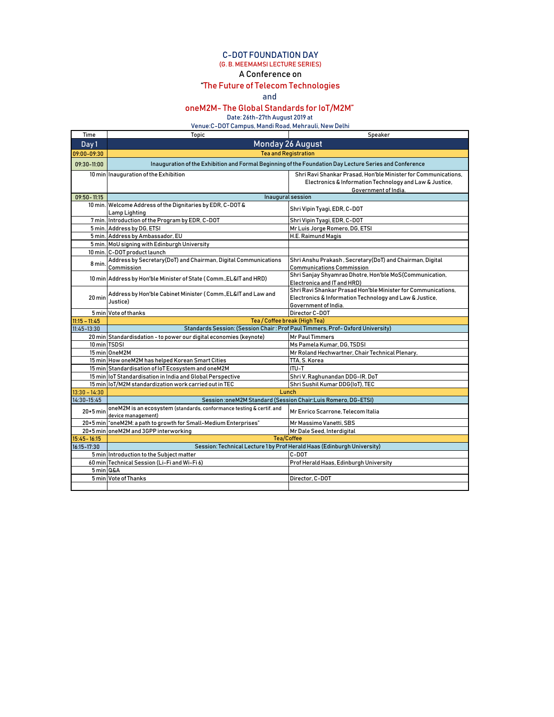## C-DOT FOUNDATION DAY (G. B. MEEMAMSI LECTURE SERIES)

## A Conference on

## "The Future of Telecom Technologies

and

## oneM2M- The Global Standards for IoT/M2M"

Date: 26th-27th August 2019 at

Venue:C-DOT Campus, Mandi Road, Mehrauli, New Delhi

| Time            | Topic                                                                                                   | Speaker                                                                                                                                           |  |
|-----------------|---------------------------------------------------------------------------------------------------------|---------------------------------------------------------------------------------------------------------------------------------------------------|--|
| Day 1           | <b>Monday 26 August</b>                                                                                 |                                                                                                                                                   |  |
| 09:00-09:30     | <b>Tea and Registration</b>                                                                             |                                                                                                                                                   |  |
| $09:30-11:00$   | Inauguration of the Exhibition and Formal Beginning of the Foundation Day Lecture Series and Conference |                                                                                                                                                   |  |
|                 | 10 min Inauguration of the Exhibition                                                                   | Shri Ravi Shankar Prasad. Hon'ble Minister for Communications.<br>Electronics & Information Technology and Law & Justice,<br>Government of India. |  |
| $09:50 - 11:15$ | Inaugural session                                                                                       |                                                                                                                                                   |  |
|                 | 10 min. Welcome Address of the Dignitaries by EDR, C-DOT &<br>Lamp Lighting                             | Shri Vipin Tyagi, EDR, C-DOT                                                                                                                      |  |
|                 | 7 min. Introduction of the Program by EDR, C-DOT                                                        | Shri Vipin Tyagi, EDR, C-DOT                                                                                                                      |  |
|                 | 5 min. Address by DG, ETSI                                                                              | Mr Luis Jorge Romero, DG, ETSI                                                                                                                    |  |
|                 | 5 min. Address by Ambassador, EU                                                                        | H.E. Raimund Magis                                                                                                                                |  |
|                 | 5 min. MoU signing with Edinburgh University                                                            |                                                                                                                                                   |  |
|                 | 10 min. C-DOT product launch                                                                            |                                                                                                                                                   |  |
| 8 min.          | Address by Secretary(DoT) and Chairman, Digital Communications<br>Commission                            | Shri Anshu Prakash, Secretary (DoT) and Chairman, Digital<br><b>Communications Commission</b>                                                     |  |
|                 | 10 min Address by Hon'ble Minister of State (Comm., EL&IT and HRD)                                      | Shri Sanjay Shyamrao Dhotre, Hon'ble MoS(Communication,<br>Electronica and IT and HRD)                                                            |  |
| 20 min          | Address by Hon'ble Cabinet Minister (Comm., EL&IT and Law and<br>Justice)                               | Shri Ravi Shankar Prasad Hon'ble Minister for Communications.<br>Electronics & Information Technology and Law & Justice,<br>Government of India.  |  |
|                 | 5 min Vote of thanks                                                                                    | Director C-DOT                                                                                                                                    |  |
| $11:15 - 11:45$ | Tea / Coffee break (High Tea)                                                                           |                                                                                                                                                   |  |
| $11:45 - 13:30$ | Standards Session: (Session Chair: Prof Paul Timmers, Prof-Oxford University)                           |                                                                                                                                                   |  |
|                 | 20 min Standardisdation - to power our digital economies (keynote)                                      | <b>Mr Paul Timmers</b>                                                                                                                            |  |
| 10 min TSDSI    |                                                                                                         | Ms Pamela Kumar, DG, TSDSI                                                                                                                        |  |
|                 | 15 min OneM2M                                                                                           | Mr Roland Hechwartner, Chair Technical Plenary,                                                                                                   |  |
|                 | 15 min How oneM2M has helped Korean Smart Cities                                                        | TTA, S. Korea                                                                                                                                     |  |
|                 | 15 min Standardisation of IoT Ecosystem and oneM2M                                                      | ITU-T                                                                                                                                             |  |
|                 | 15 min IoT Standardisation in India and Global Perspective                                              | Shri V. Raghunandan DDG-IR. DoT                                                                                                                   |  |
|                 | 15 min loT/M2M standardization work carried out in TEC                                                  | Shri Sushil Kumar DDG(IoT), TEC                                                                                                                   |  |
| $13:30 - 14:30$ | Lunch                                                                                                   |                                                                                                                                                   |  |
| 14:30-15:45     | Session: oneM2M Standard (Session Chair: Luis Romero, DG-ETSI)                                          |                                                                                                                                                   |  |
| $20+5$ min      | oneM2M is an ecosystem (standards, conformance testing & certif. and<br>device management)              | Mr Enrico Scarrone. Telecom Italia                                                                                                                |  |
|                 | 20+5 min coneM2M: a path to growth for Small-Medium Enterprises"                                        | Mr Massimo Vanetti, SBS                                                                                                                           |  |
|                 | 20+5 min oneM2M and 3GPP interworking                                                                   | Mr Dale Seed, Interdigital                                                                                                                        |  |
| $15:45 - 16:15$ |                                                                                                         | <b>Tea/Coffee</b>                                                                                                                                 |  |
| 16:15-17:30     | Session: Technical Lecture 1 by Prof Herald Haas (Edinburgh University)                                 |                                                                                                                                                   |  |
|                 | 5 min Introduction to the Subject matter                                                                | C-DOT                                                                                                                                             |  |
|                 | 60 min Technical Session (Li-Fi and Wi-Fi 6)                                                            | Prof Herald Haas, Edinburgh University                                                                                                            |  |
| 5 min Q&A       |                                                                                                         |                                                                                                                                                   |  |
|                 | 5 min Vote of Thanks                                                                                    | Director, C-DOT                                                                                                                                   |  |
|                 |                                                                                                         |                                                                                                                                                   |  |